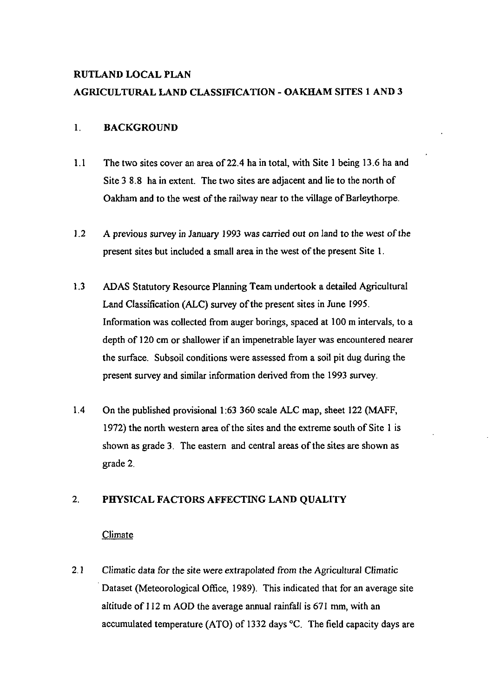# RUTLAND LOCAL PLAN AGRICULTURAL LAND CLASSIFICATION - OAKHAM SITES 1 AND 3

# 1. BACKGROUND

- 1.1 The two sites cover an area of 22.4 ha in total, with Site 1 being 13.6 ha and Site 3 8.8 ha in extent. The two sites are adjacent and lie to the north of Oakham and to the west of the railway near to the village of Barleythorpe.
- 1.2 A previous survey in January 1993 was carried out on land to the west of the present sites but included a small area in the west of the present Site 1.
- 1.3 ADAS Statutory Resource Planning Team undertook a detailed Agricultural Land Classification (ALC) survey of the present sites in June 1995. Information was collected from auger borings, spaced at 100 m intervals, to a depth of 120 cm or shallower if an impenetrable layer was encountered nearer the surface. Subsoil conditions were assessed from a soil pit dug during the present survey and similar information derived from the 1993 survey.
- 1.4 On the published provisional 1:63 360 scale ALC map, sheet 122 (MAFF, 1972) the north westem area of the sites and the extreme south of Site 1 is shown as grade 3. The eastem and central areas of the sites are shown as grade 2.

#### $2.$ PHYSICAL FACTORS AFFECTING LAND QUALITY

### Climate

2.1 Climatic data for the site were extrapolated from the Agricultural Climatic Dataset (Meteorological Office, 1989). This indicated that for an average site altitude of 112 m AOD the average annual rainfall is 671 mm, with an accumulated temperature (ATO) of 1332 days °C. The field capacity days are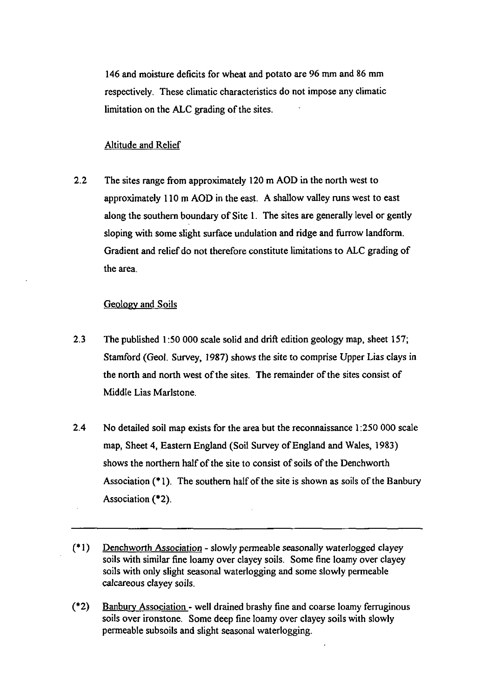146 and moisture deficits for wheat and potato are 96 mm and 86 mm respectively. These climatic characteristics do not impose any climatic limitation on the ALC grading of the sites.

#### Altitude and Relief

2.2 The sites range from approximately 120 m AOD in the north west to approximately 110 m AOD in the east. A shallow valley mns west to east along the southem boundary of Site 1. The sites are generally level or gently sloping with some slight surface undulation and ridge and furrow landform. Gradient and relief do not therefore constitute limitations to ALC grading of the area.

#### Geology and Soils

- 2.3 The published 1:50 000 scale solid and drift edition geology map, sheet 157; Stamford (Geol. Survey, 1987) shows the site to comprise Upper Lias clays in the north and north west of the sites. The remainder of the sites consist of Middle Lias Marlstone.
- 2.4 No detailed soil map exists for the area but the recormaissance 1:250 000 scale map, Sheet 4, Eastern England (Soil Survey of England and Wales, 1983) shows the northem half of the site to consist of soils of the Denchworth Association (\*1). The southem half of the site is shown as soils of the Banbury Association (\*2).
- (\* 1) Denchworth Association slowly permeable seasonally wateriogged clayey soils with similar fine loamy over clayey soils. Some fine loamy over clayey soils with only slight seasonal wateriogging and some slowly permeable calcareous clayey soils.
- (\*2) Banbury Association well drained brashy fine and coarse loamy fermginous soils over ironstone. Some deep fine loamy over clayey soils with slowly permeable subsoils and slight seasonal wateriogging.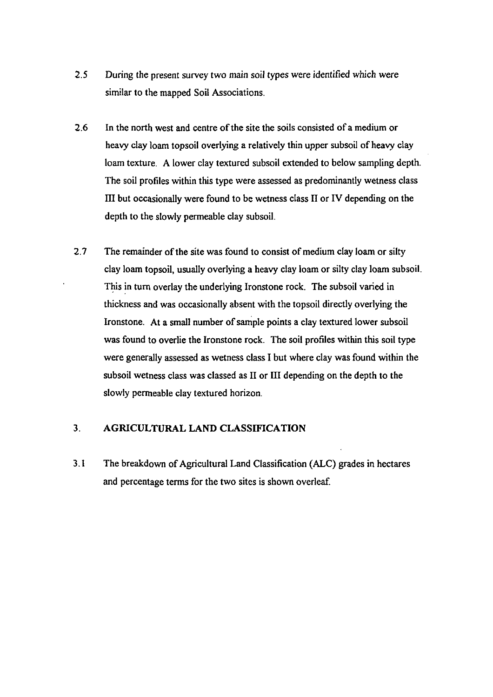- 2.5 During the present survey two main soil types were identified which were similar to the mapped Soil Associations.
- 2.6 In the north west and centre of the site the soils consisted of a medium or heavy clay loam topsoil overlying a relatively thin upper subsoil of heavy clay loam texture. A lower clay textured subsoil extended to below sampling depth. The soil profiles within this type were assessed as predominantly wetness class III but occasionally were found to be wetness class  $II$  or IV depending on the depth to the slowly permeable clay subsoil.
- 2.7 The remainder of the site was found to consist of medium clay loam or silty clay loam topsoil, usually overlying a heavy clay loam or silty clay loam subsoil. This in tum overlay the underlying Ironstone rock. The subsoil varied in thickness and was occasionally absent with the topsoil directly overlying the Ironstone. At a small number of sample points a clay textured lower subsoil was found to overiie the Ironstone rock. The soil profiles within this soil type were generally assessed as wetness class I but where clay was found within the subsoil wetness class was classed as 11 or HI depending on the depth to the slowly permeable clay textured horizon.

#### 3. AGRICULTURAL LAND CLASSIFICATION

3.1 The breakdown of Agricultural Land Classification (ALC) grades in hectares and percentage terms for the two sites is shown overleaf.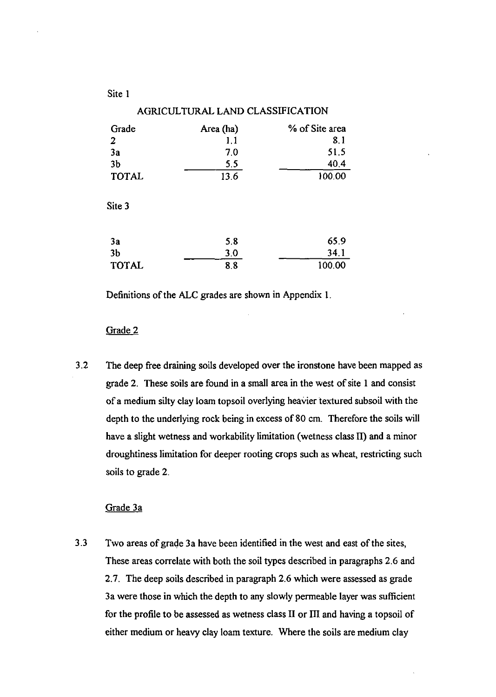| Site 1         |                                  |                |
|----------------|----------------------------------|----------------|
|                | AGRICULTURAL LAND CLASSIFICATION |                |
| Grade          | Area (ha)                        | % of Site area |
| 2              | 1,1                              | 8.1            |
| 3a             | 7.0                              | 51.5           |
| 3 <sub>b</sub> | 5.5                              | 40.4           |
| <b>TOTAL</b>   | 13.6                             | 100.00         |
| Site 3         |                                  |                |
| 3a             | 5.8                              | 65.9           |
| 3 <sub>b</sub> | 3.0                              | 34.1           |
| <b>TOTAL</b>   | 8.8                              | 100.00         |

Definitions of the ALC grades are shown in Appendix 1.

#### Grade 2

3.2 The deep free draining soils developed over the ironstone have been mapped as grade 2. These soils are found in a small area in the west of site 1 and consist of a medium silty clay loam topsoil overlying heavier textured subsoil with the depth to the underlying rock being in excess of 80 cm. Therefore the soils will have a slight wetness and workability limitation (wetness class II) and a minor droughtiness limitation for deeper rooting crops such as wheat, restricting such soils to grade 2.

### Grade 3a

3.3 Two areas of grade 3a have been identified in the west and east of the sites, These areas correlate with both the soil types described in paragraphs 2.6 and 2.7. The deep soils described in paragraph 2.6 which were assessed as grade 3a were those in which the depth to any slowly permeable layer was sufficient for the profile to be assessed as wetness class II or III and having a topsoil of either medium or heavy clay loam texture. Where the soils are medium clay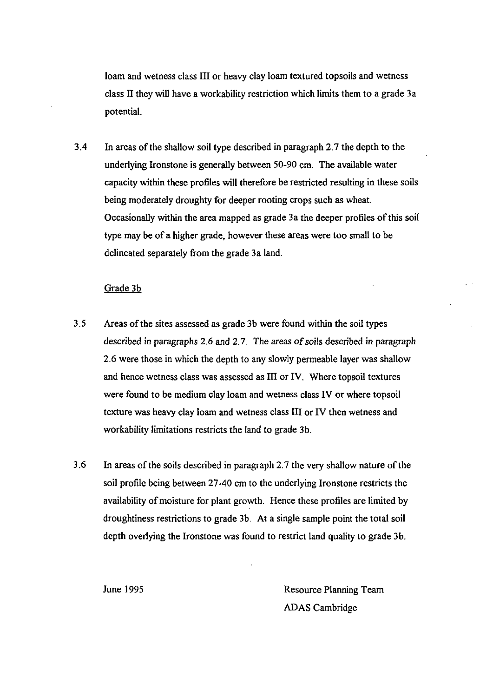loam and wetness class III or heavy clay loam textured topsoils and wetness class II they will have a workability restriction which limits them to a grade 3 a potential.

3.4 In areas of the shallow soil type described in paragraph 2.7 the depth to the underlying Ironstone is generally between 50-90 cm. The available water capacity within these profiles will therefore be restricted resulting in these soils being moderately droughty for deeper rooting crops such as wheat. Occasionally within the area mapped as grade 3a the deeper profiles of this soil type may be of a higher grade, however these areas were too small to be delineated separately from the grade 3a land.

#### Grade 3b

- 3.5 Areas of the sites assessed as grade 3b were found within the soil types described in paragraphs 2.6 and 2.7. The areas of soils described in paragraph 2.6 were those in which the depth to any slowly permeable layer was shallow and hence wetness class was assessed as III or IV. Where topsoil textures were found to be medium clay loam and wetness class IV or where topsoil texture was heavy clay loam and wetness class III or IV then wetness and workability limitations restricts the land to grade 3b.
- 3.6 In areas of the soils described in paragraph 2.7 the very shallow nature of the soil profile being between 27-40 cm to the underlying Ironstone restricts the availability of moisture for plant growth. Hence these profiles are limited by droughtiness restrictions to grade 3b. At a single sample point the total soil depth overiying the Ironstone was found to restrict land quality to grade 3b.

June 1995 Resource Planning Team ADAS Cambridge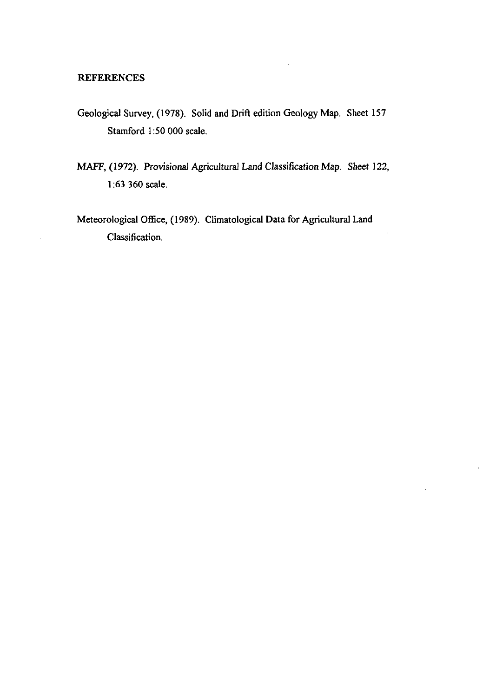#### **REFERENCES**

- Geological Survey, (1978). Solid and Drift edition Geology Map. Sheet 157 Stamford 1:50 000 scale.
- MAFF, (1972). Provisional Agricultural Land Classification Map. Sheet 122, 1:63 360 scale.
- Meteorological Office, (1989). Climatological Data for Agricultural Land Classification.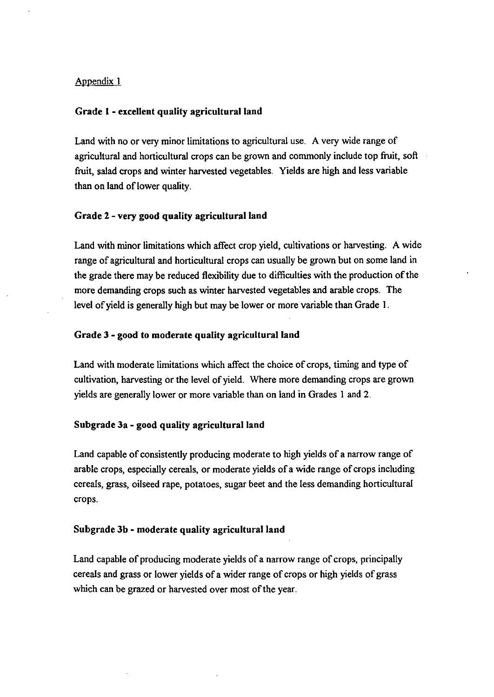#### Appendix 1

#### Grade 1 - excellent quality agricultural land

Land with no or very minor limitations to agricultural use. A very wide range of agricultural and horticultural crops can be grown and commonly include top fruit, soft fiuit, salad crops and winter harvested vegetables. Yields are high and less variable than on land of lower quality.

#### Grade 2 - very good quality agricultural land

Land with minor limitations which affect crop yield, cultivations or harvesting. A wide range of agricultural and horticultural crops can usually be grown but on some land in the grade there may be reduced flexibility due to difficulties with the production of the more demanding crops such as winter harvested vegetables and arable crops. The level of yield is generally high but may be lower or more variable than Grade 1.

#### Grade 3 - good to moderate quality agricultural land

Land with moderate limitations which affect the choice of crops, timing and type of cultivation, harvesting or the level of yield. Where more demanding crops are grown yields are generally lower or more variable than on land in Grades 1 and 2.

# Subgrade 3a - good quality agricultural land

Land capable of consistently producing moderate to high yields of a narrow range of arable crops, especially cereals, or moderate yields of a wide range of crops including cereals, grass, oilseed rape, potatoes, sugar beet and the less demanding horticultural crops.

#### Subgrade 3b - moderate quality agricultural land

Land capable of producing moderate yields of a narrow range of crops, principally cereals and grass or lower yields of a wider range of crops or high yields of grass which can be grazed or harvested over most of the year.